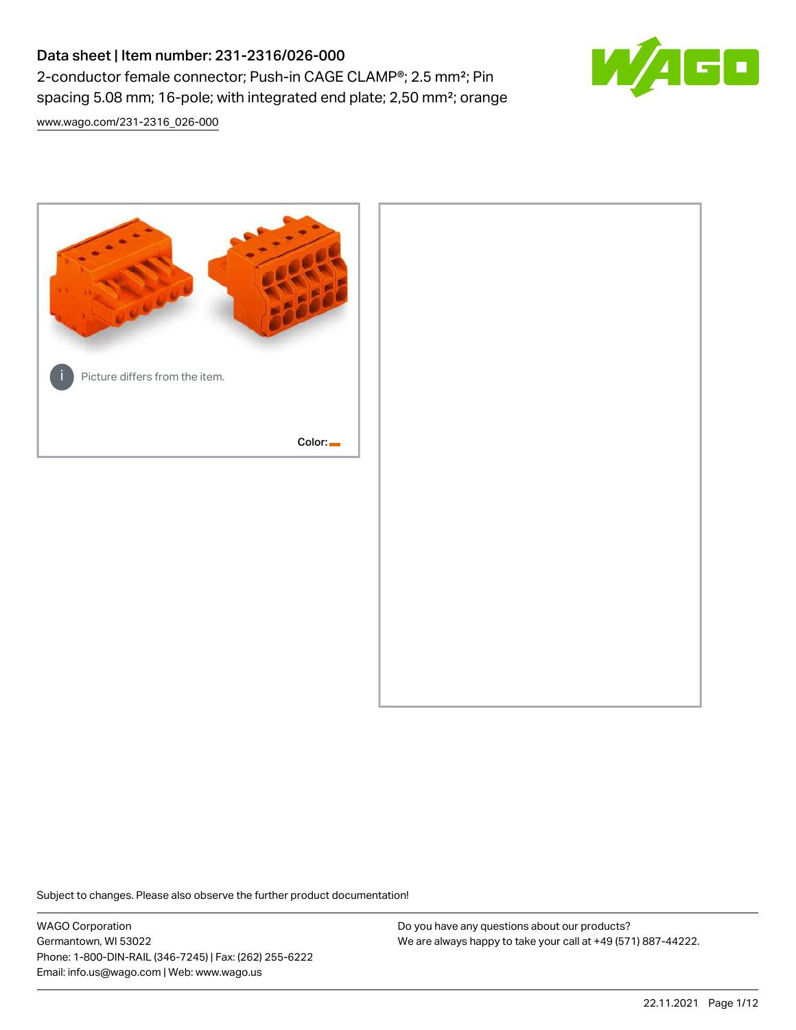# Data sheet | Item number: 231-2316/026-000 2-conductor female connector; Push-in CAGE CLAMP®; 2.5 mm²; Pin spacing 5.08 mm; 16-pole; with integrated end plate; 2,50 mm²; orange

[www.wago.com/231-2316\\_026-000](http://www.wago.com/231-2316_026-000)



Subject to changes. Please also observe the further product documentation!

WAGO Corporation Germantown, WI 53022 Phone: 1-800-DIN-RAIL (346-7245) | Fax: (262) 255-6222 Email: info.us@wago.com | Web: www.wago.us

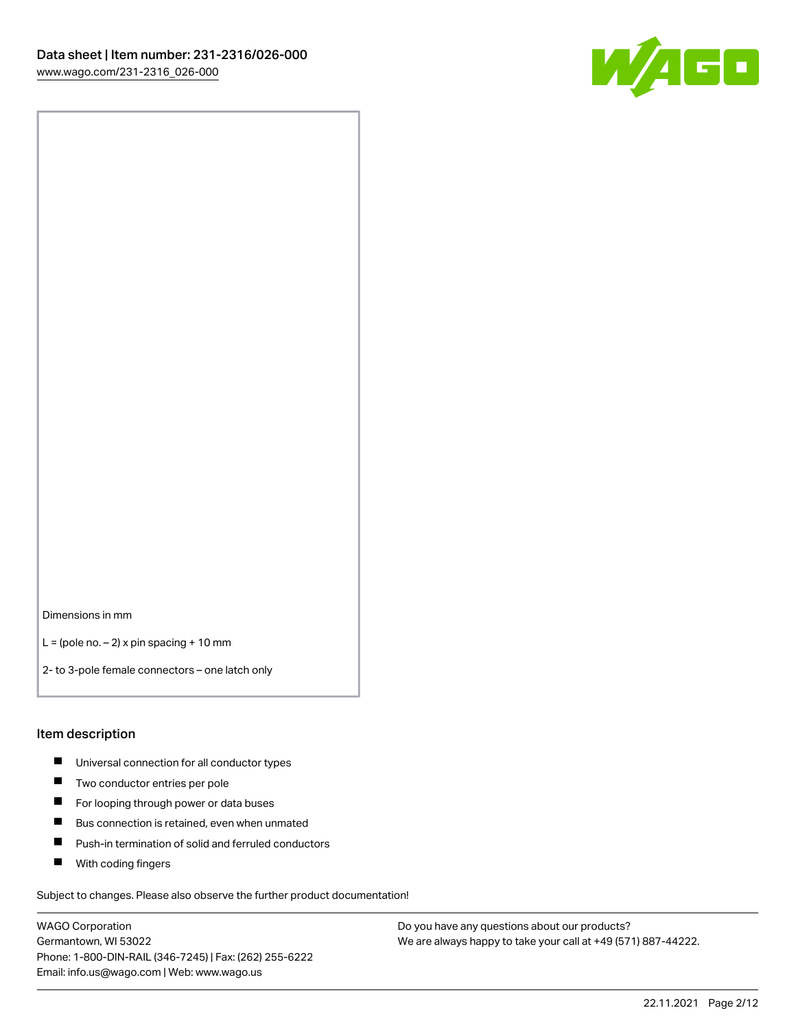

Dimensions in mm

 $L =$  (pole no.  $-2$ ) x pin spacing + 10 mm

2- to 3-pole female connectors – one latch only

#### Item description

- **Universal connection for all conductor types**
- **Two conductor entries per pole**
- $\blacksquare$ For looping through power or data buses
- $\blacksquare$ Bus connection is retained, even when unmated
- $\blacksquare$ Push-in termination of solid and ferruled conductors
- $\blacksquare$ With coding fingers

Subject to changes. Please also observe the further product documentation!

WAGO Corporation Germantown, WI 53022 Phone: 1-800-DIN-RAIL (346-7245) | Fax: (262) 255-6222 Email: info.us@wago.com | Web: www.wago.us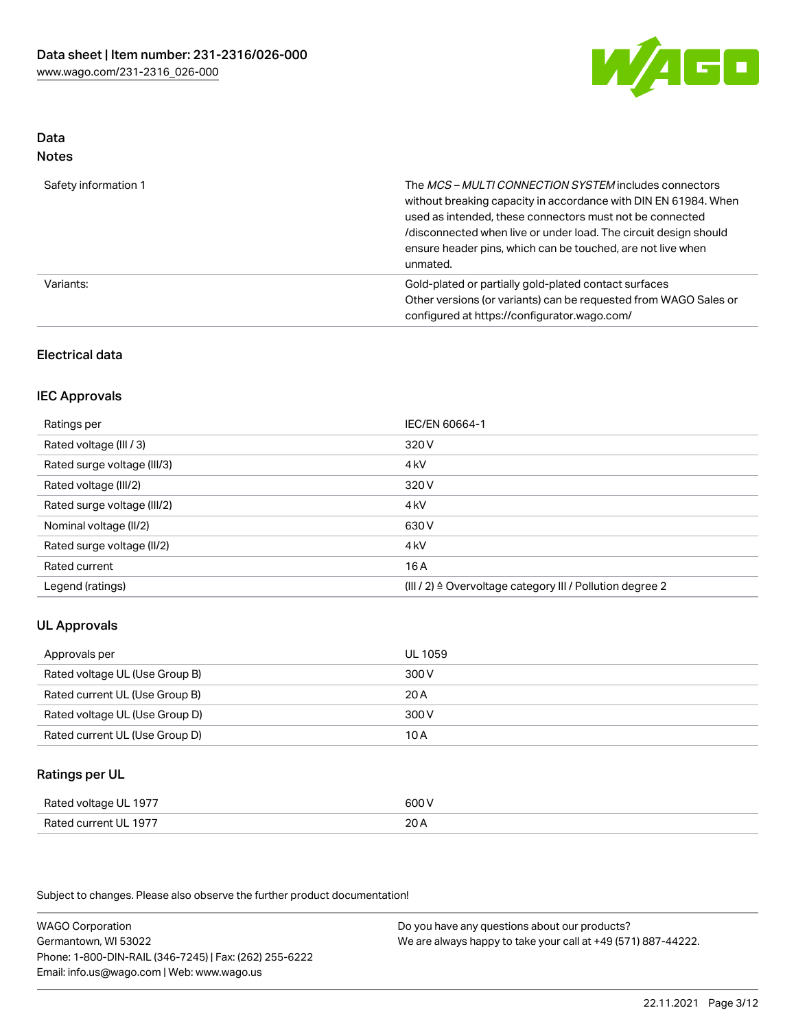

#### Data Notes

| .                    |                                                                                                                                                                                                                                                                                                                                   |
|----------------------|-----------------------------------------------------------------------------------------------------------------------------------------------------------------------------------------------------------------------------------------------------------------------------------------------------------------------------------|
| Safety information 1 | The MCS-MULTI CONNECTION SYSTEM includes connectors<br>without breaking capacity in accordance with DIN EN 61984. When<br>used as intended, these connectors must not be connected<br>/disconnected when live or under load. The circuit design should<br>ensure header pins, which can be touched, are not live when<br>unmated. |
| Variants:            | Gold-plated or partially gold-plated contact surfaces<br>Other versions (or variants) can be requested from WAGO Sales or<br>configured at https://configurator.wago.com/                                                                                                                                                         |

### Electrical data

### IEC Approvals

| Ratings per                 | IEC/EN 60664-1                                                        |
|-----------------------------|-----------------------------------------------------------------------|
| Rated voltage (III / 3)     | 320 V                                                                 |
| Rated surge voltage (III/3) | 4 <sub>k</sub> V                                                      |
| Rated voltage (III/2)       | 320 V                                                                 |
| Rated surge voltage (III/2) | 4 <sub>k</sub> V                                                      |
| Nominal voltage (II/2)      | 630 V                                                                 |
| Rated surge voltage (II/2)  | 4 <sub>k</sub> V                                                      |
| Rated current               | 16A                                                                   |
| Legend (ratings)            | $(III / 2)$ $\triangle$ Overvoltage category III / Pollution degree 2 |

# UL Approvals

| Approvals per                  | UL 1059 |
|--------------------------------|---------|
| Rated voltage UL (Use Group B) | 300 V   |
| Rated current UL (Use Group B) | 20 A    |
| Rated voltage UL (Use Group D) | 300 V   |
| Rated current UL (Use Group D) | 10 A    |

#### Ratings per UL

| Rated voltage UL 1977 | 600 V |
|-----------------------|-------|
| Rated current UL 1977 | 20A   |

Subject to changes. Please also observe the further product documentation!

WAGO Corporation Germantown, WI 53022 Phone: 1-800-DIN-RAIL (346-7245) | Fax: (262) 255-6222 Email: info.us@wago.com | Web: www.wago.us Do you have any questions about our products? We are always happy to take your call at +49 (571) 887-44222.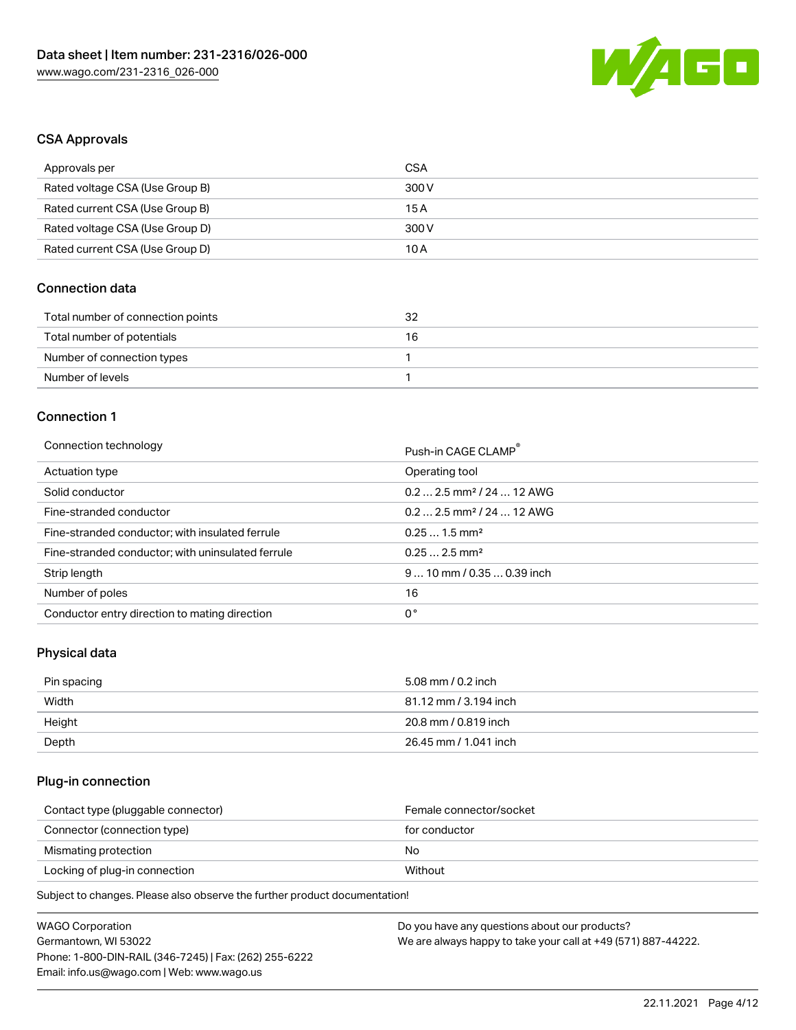

### CSA Approvals

| Approvals per                   | CSA   |
|---------------------------------|-------|
| Rated voltage CSA (Use Group B) | 300 V |
| Rated current CSA (Use Group B) | 15 A  |
| Rated voltage CSA (Use Group D) | 300 V |
| Rated current CSA (Use Group D) | 10 A  |

# Connection data

| Total number of connection points | 32 |
|-----------------------------------|----|
| Total number of potentials        | 16 |
| Number of connection types        |    |
| Number of levels                  |    |

# Connection 1

#### Connection technology **Push-in CAGE CLAMP<sup>®</sup>**

| ັ                                                 | PUSN-IN CAGE CLAMP                    |
|---------------------------------------------------|---------------------------------------|
| Actuation type                                    | Operating tool                        |
| Solid conductor                                   | $0.22.5$ mm <sup>2</sup> / 24  12 AWG |
| Fine-stranded conductor                           | $0.22.5$ mm <sup>2</sup> / 24  12 AWG |
| Fine-stranded conductor; with insulated ferrule   | $0.251.5$ mm <sup>2</sup>             |
| Fine-stranded conductor; with uninsulated ferrule | $0.252.5$ mm <sup>2</sup>             |
| Strip length                                      | $910$ mm / 0.35  0.39 inch            |
| Number of poles                                   | 16                                    |
| Conductor entry direction to mating direction     | 0°                                    |

# Physical data

| Pin spacing | 5.08 mm / 0.2 inch    |
|-------------|-----------------------|
| Width       | 81.12 mm / 3.194 inch |
| Height      | 20.8 mm / 0.819 inch  |
| Depth       | 26.45 mm / 1.041 inch |

### Plug-in connection

| Female connector/socket |
|-------------------------|
| for conductor           |
| No.                     |
| Without                 |
|                         |

Subject to changes. Please also observe the further product documentation!

| <b>WAGO Corporation</b>                                | Do you have any questions about our products?                 |
|--------------------------------------------------------|---------------------------------------------------------------|
| Germantown, WI 53022                                   | We are always happy to take your call at +49 (571) 887-44222. |
| Phone: 1-800-DIN-RAIL (346-7245)   Fax: (262) 255-6222 |                                                               |
| Email: info.us@wago.com   Web: www.wago.us             |                                                               |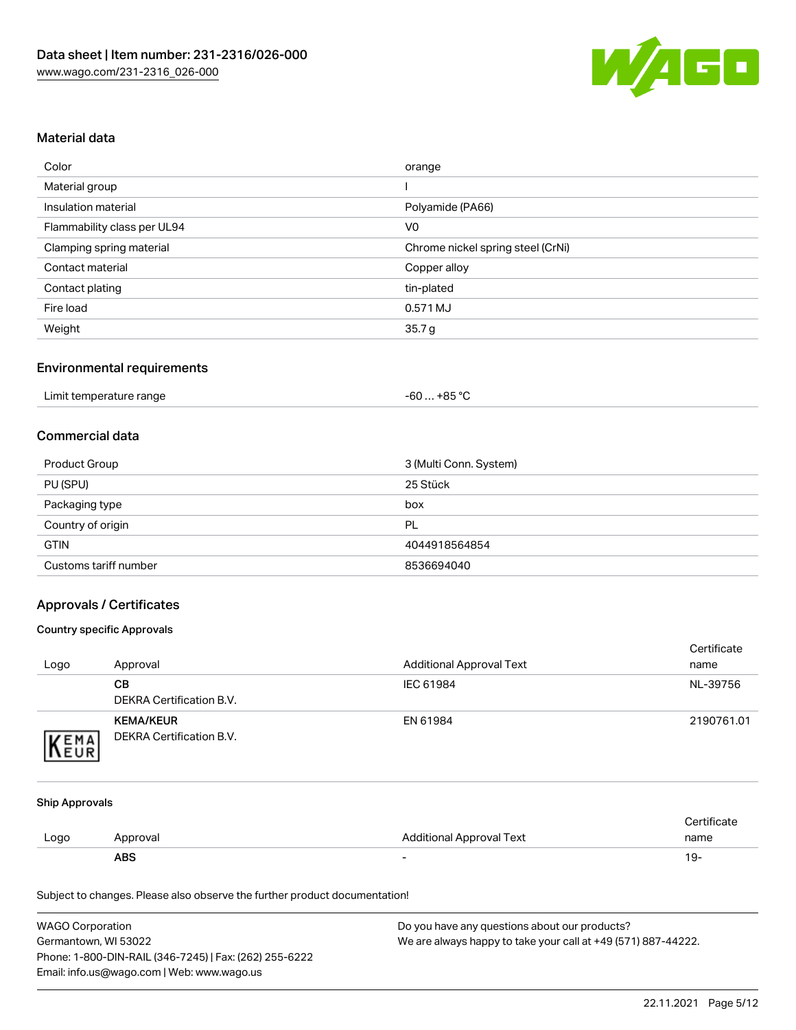

### Material data

| Color                       | orange                            |
|-----------------------------|-----------------------------------|
| Material group              |                                   |
| Insulation material         | Polyamide (PA66)                  |
| Flammability class per UL94 | V <sub>0</sub>                    |
| Clamping spring material    | Chrome nickel spring steel (CrNi) |
| Contact material            | Copper alloy                      |
| Contact plating             | tin-plated                        |
| Fire load                   | 0.571 MJ                          |
| Weight                      | 35.7 <sub>g</sub>                 |

### Environmental requirements

### Commercial data

| Product Group         | 3 (Multi Conn. System) |
|-----------------------|------------------------|
| PU (SPU)              | 25 Stück               |
| Packaging type        | box                    |
| Country of origin     | PL                     |
| <b>GTIN</b>           | 4044918564854          |
| Customs tariff number | 8536694040             |

### Approvals / Certificates

#### Country specific Approvals

| Logo | Approval                                     | <b>Additional Approval Text</b> | Certificate<br>name |
|------|----------------------------------------------|---------------------------------|---------------------|
|      | <b>CB</b><br>DEKRA Certification B.V.        | IEC 61984                       | NL-39756            |
| EMA  | <b>KEMA/KEUR</b><br>DEKRA Certification B.V. | EN 61984                        | 2190761.01          |

#### Ship Approvals

|      | ABS      | -                        | ιУ۰         |
|------|----------|--------------------------|-------------|
| Logo | Approval | Additional Approval Text | name        |
|      |          |                          | Certificate |

Subject to changes. Please also observe the further product documentation!

| <b>WAGO Corporation</b>                                | Do you have any questions about our products?                 |
|--------------------------------------------------------|---------------------------------------------------------------|
| Germantown, WI 53022                                   | We are always happy to take your call at +49 (571) 887-44222. |
| Phone: 1-800-DIN-RAIL (346-7245)   Fax: (262) 255-6222 |                                                               |
| Email: info.us@wago.com   Web: www.wago.us             |                                                               |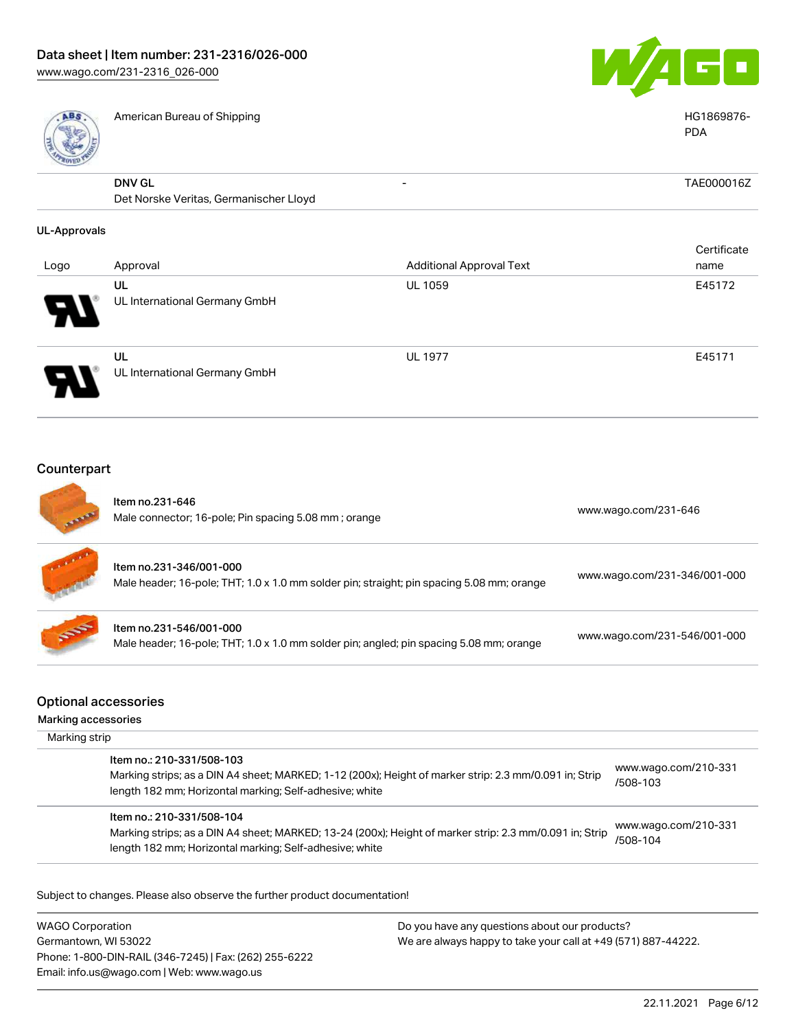

| <b>ABS</b>          | American Bureau of Shipping                                                                                          |                                 | HG1869876-<br><b>PDA</b>     |
|---------------------|----------------------------------------------------------------------------------------------------------------------|---------------------------------|------------------------------|
|                     | <b>DNV GL</b><br>Det Norske Veritas, Germanischer Lloyd                                                              |                                 | TAE000016Z                   |
| <b>UL-Approvals</b> |                                                                                                                      |                                 |                              |
|                     |                                                                                                                      |                                 | Certificate                  |
| Logo                | Approval                                                                                                             | <b>Additional Approval Text</b> | name                         |
|                     | UL                                                                                                                   | UL 1059                         | E45172                       |
|                     | UL International Germany GmbH                                                                                        |                                 |                              |
|                     | UL<br>UL International Germany GmbH                                                                                  | <b>UL 1977</b>                  | E45171                       |
| Counterpart         |                                                                                                                      |                                 |                              |
|                     | Item no.231-646<br>Male connector; 16-pole; Pin spacing 5.08 mm; orange                                              |                                 | www.wago.com/231-646         |
|                     | Item no.231-346/001-000<br>Male header; 16-pole; THT; 1.0 x 1.0 mm solder pin; straight; pin spacing 5.08 mm; orange |                                 | www.wago.com/231-346/001-000 |
|                     | Item no.231-546/001-000<br>Male header; 16-pole; THT; 1.0 x 1.0 mm solder pin; angled; pin spacing 5.08 mm; orange   |                                 | www.wago.com/231-546/001-000 |

# Optional accessories

Marking accessories

| Marking strip                                                                                                                                                                                   |                                  |
|-------------------------------------------------------------------------------------------------------------------------------------------------------------------------------------------------|----------------------------------|
| Item no.: 210-331/508-103<br>Marking strips; as a DIN A4 sheet; MARKED; 1-12 (200x); Height of marker strip: 2.3 mm/0.091 in; Strip<br>length 182 mm; Horizontal marking; Self-adhesive; white  | www.wago.com/210-331<br>/508-103 |
| Item no.: 210-331/508-104<br>Marking strips; as a DIN A4 sheet; MARKED; 13-24 (200x); Height of marker strip: 2.3 mm/0.091 in; Strip<br>length 182 mm; Horizontal marking; Self-adhesive; white | www.wago.com/210-331<br>/508-104 |

Subject to changes. Please also observe the further product documentation!

WAGO Corporation Germantown, WI 53022 Phone: 1-800-DIN-RAIL (346-7245) | Fax: (262) 255-6222 Email: info.us@wago.com | Web: www.wago.us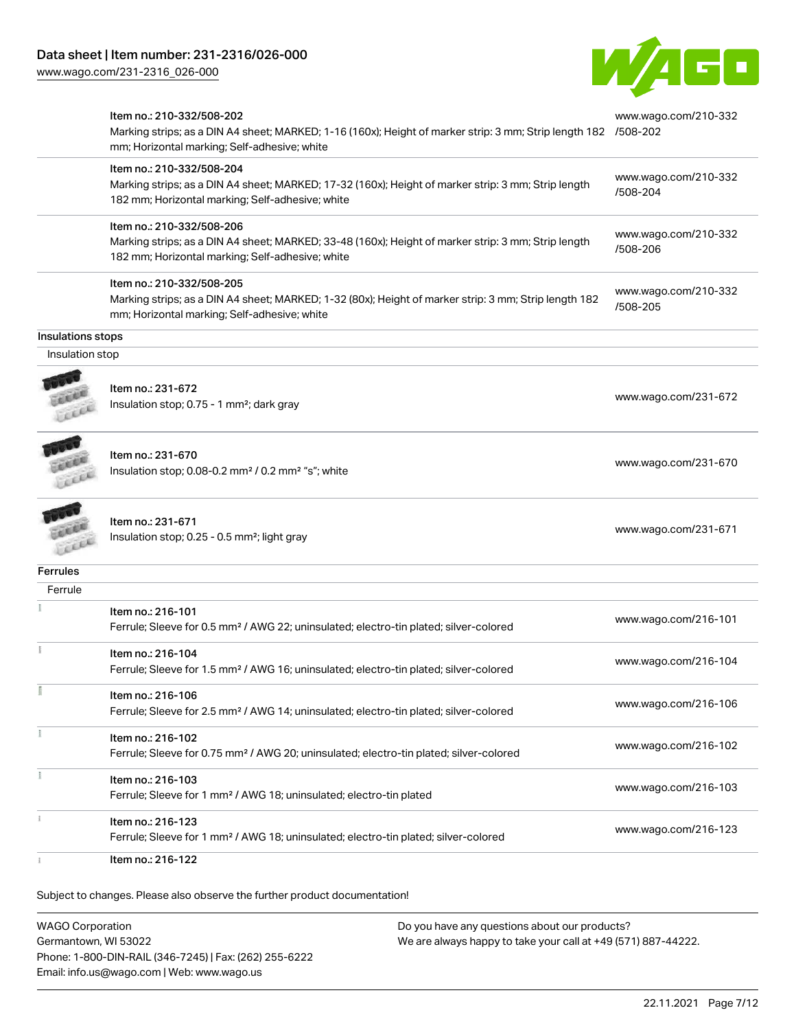[www.wago.com/231-2316\\_026-000](http://www.wago.com/231-2316_026-000)



|                   | Item no.: 210-332/508-202<br>Marking strips; as a DIN A4 sheet; MARKED; 1-16 (160x); Height of marker strip: 3 mm; Strip length 182 /508-202<br>mm; Horizontal marking; Self-adhesive; white | www.wago.com/210-332             |
|-------------------|----------------------------------------------------------------------------------------------------------------------------------------------------------------------------------------------|----------------------------------|
|                   | Item no.: 210-332/508-204<br>Marking strips; as a DIN A4 sheet; MARKED; 17-32 (160x); Height of marker strip: 3 mm; Strip length<br>182 mm; Horizontal marking; Self-adhesive; white         | www.wago.com/210-332<br>/508-204 |
|                   | Item no.: 210-332/508-206<br>Marking strips; as a DIN A4 sheet; MARKED; 33-48 (160x); Height of marker strip: 3 mm; Strip length<br>182 mm; Horizontal marking; Self-adhesive; white         | www.wago.com/210-332<br>/508-206 |
|                   | Item no.: 210-332/508-205<br>Marking strips; as a DIN A4 sheet; MARKED; 1-32 (80x); Height of marker strip: 3 mm; Strip length 182<br>mm; Horizontal marking; Self-adhesive; white           | www.wago.com/210-332<br>/508-205 |
| Insulations stops |                                                                                                                                                                                              |                                  |
| Insulation stop   |                                                                                                                                                                                              |                                  |
|                   | Item no.: 231-672<br>Insulation stop; 0.75 - 1 mm <sup>2</sup> ; dark gray                                                                                                                   | www.wago.com/231-672             |
|                   | Item no.: 231-670<br>Insulation stop; 0.08-0.2 mm <sup>2</sup> / 0.2 mm <sup>2</sup> "s"; white                                                                                              | www.wago.com/231-670             |
|                   | Item no.: 231-671<br>Insulation stop; 0.25 - 0.5 mm <sup>2</sup> ; light gray                                                                                                                | www.wago.com/231-671             |
| <b>Ferrules</b>   |                                                                                                                                                                                              |                                  |
| Ferrule           |                                                                                                                                                                                              |                                  |
|                   | Item no.: 216-101<br>Ferrule; Sleeve for 0.5 mm <sup>2</sup> / AWG 22; uninsulated; electro-tin plated; silver-colored                                                                       | www.wago.com/216-101             |
| ī                 | Item no.: 216-104<br>Ferrule; Sleeve for 1.5 mm <sup>2</sup> / AWG 16; uninsulated; electro-tin plated; silver-colored                                                                       | www.wago.com/216-104             |
| Ĭ                 | Item no.: 216-106<br>Ferrule; Sleeve for 2.5 mm <sup>2</sup> / AWG 14; uninsulated; electro-tin plated; silver-colored                                                                       | www.wago.com/216-106             |
| Ĩ.                | Item no.: 216-102<br>Ferrule; Sleeve for 0.75 mm <sup>2</sup> / AWG 20; uninsulated; electro-tin plated; silver-colored                                                                      | www.wago.com/216-102             |
|                   | Item no.: 216-103<br>Ferrule; Sleeve for 1 mm <sup>2</sup> / AWG 18; uninsulated; electro-tin plated                                                                                         | www.wago.com/216-103             |
|                   | Item no.: 216-123<br>Ferrule; Sleeve for 1 mm <sup>2</sup> / AWG 18; uninsulated; electro-tin plated; silver-colored                                                                         | www.wago.com/216-123             |
|                   | Item no.: 216-122                                                                                                                                                                            |                                  |

Subject to changes. Please also observe the further product documentation!

WAGO Corporation Germantown, WI 53022 Phone: 1-800-DIN-RAIL (346-7245) | Fax: (262) 255-6222 Email: info.us@wago.com | Web: www.wago.us Do you have any questions about our products? We are always happy to take your call at +49 (571) 887-44222.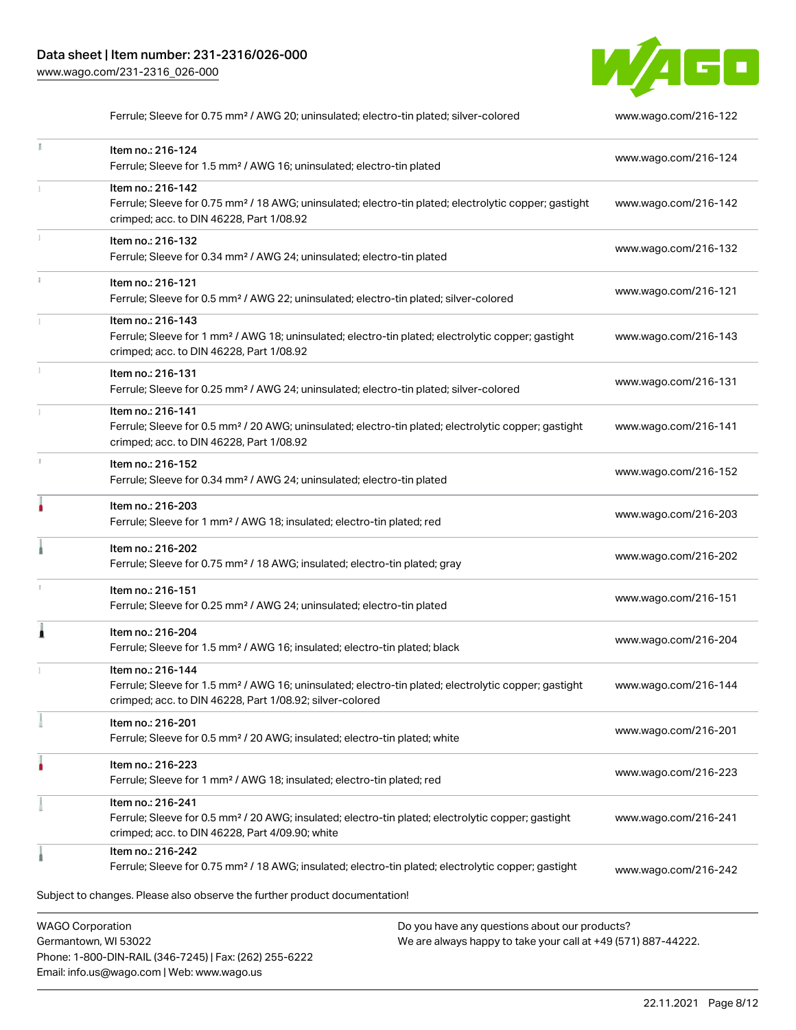Email: info.us@wago.com | Web: www.wago.us



Ferrule; Sleeve for 0.75 mm<sup>2</sup> / AWG 20; uninsulated; electro-tin plated; silver-colored [www.wago.com/216-122](http://www.wago.com/216-122)

|   | Item no.: 216-124<br>Ferrule; Sleeve for 1.5 mm <sup>2</sup> / AWG 16; uninsulated; electro-tin plated                                                                                                                      | www.wago.com/216-124 |
|---|-----------------------------------------------------------------------------------------------------------------------------------------------------------------------------------------------------------------------------|----------------------|
|   | Item no.: 216-142<br>Ferrule; Sleeve for 0.75 mm <sup>2</sup> / 18 AWG; uninsulated; electro-tin plated; electrolytic copper; gastight<br>crimped; acc. to DIN 46228, Part 1/08.92                                          | www.wago.com/216-142 |
|   | Item no.: 216-132<br>Ferrule; Sleeve for 0.34 mm <sup>2</sup> / AWG 24; uninsulated; electro-tin plated                                                                                                                     | www.wago.com/216-132 |
|   | Item no.: 216-121<br>Ferrule; Sleeve for 0.5 mm <sup>2</sup> / AWG 22; uninsulated; electro-tin plated; silver-colored                                                                                                      | www.wago.com/216-121 |
|   | Item no.: 216-143<br>Ferrule; Sleeve for 1 mm <sup>2</sup> / AWG 18; uninsulated; electro-tin plated; electrolytic copper; gastight<br>crimped; acc. to DIN 46228, Part 1/08.92                                             | www.wago.com/216-143 |
|   | Item no.: 216-131<br>Ferrule; Sleeve for 0.25 mm <sup>2</sup> / AWG 24; uninsulated; electro-tin plated; silver-colored                                                                                                     | www.wago.com/216-131 |
|   | Item no.: 216-141<br>Ferrule; Sleeve for 0.5 mm <sup>2</sup> / 20 AWG; uninsulated; electro-tin plated; electrolytic copper; gastight<br>crimped; acc. to DIN 46228, Part 1/08.92                                           | www.wago.com/216-141 |
|   | Item no.: 216-152<br>Ferrule; Sleeve for 0.34 mm <sup>2</sup> / AWG 24; uninsulated; electro-tin plated                                                                                                                     | www.wago.com/216-152 |
|   | Item no.: 216-203<br>Ferrule; Sleeve for 1 mm <sup>2</sup> / AWG 18; insulated; electro-tin plated; red                                                                                                                     | www.wago.com/216-203 |
|   | Item no.: 216-202<br>Ferrule; Sleeve for 0.75 mm <sup>2</sup> / 18 AWG; insulated; electro-tin plated; gray                                                                                                                 | www.wago.com/216-202 |
| 1 | Item no.: 216-151<br>Ferrule; Sleeve for 0.25 mm <sup>2</sup> / AWG 24; uninsulated; electro-tin plated                                                                                                                     | www.wago.com/216-151 |
|   | Item no.: 216-204<br>Ferrule; Sleeve for 1.5 mm <sup>2</sup> / AWG 16; insulated; electro-tin plated; black                                                                                                                 | www.wago.com/216-204 |
|   | Item no.: 216-144<br>Ferrule; Sleeve for 1.5 mm <sup>2</sup> / AWG 16; uninsulated; electro-tin plated; electrolytic copper; gastight<br>crimped; acc. to DIN 46228, Part 1/08.92; silver-colored                           | www.wago.com/216-144 |
|   | Item no.: 216-201<br>Ferrule; Sleeve for 0.5 mm <sup>2</sup> / 20 AWG; insulated; electro-tin plated; white                                                                                                                 | www.wago.com/216-201 |
|   | Item no.: 216-223<br>Ferrule; Sleeve for 1 mm <sup>2</sup> / AWG 18; insulated; electro-tin plated; red                                                                                                                     | www.wago.com/216-223 |
|   | Item no.: 216-241<br>Ferrule; Sleeve for 0.5 mm <sup>2</sup> / 20 AWG; insulated; electro-tin plated; electrolytic copper; gastight<br>crimped; acc. to DIN 46228, Part 4/09.90; white                                      | www.wago.com/216-241 |
|   | Item no.: 216-242<br>Ferrule; Sleeve for 0.75 mm <sup>2</sup> / 18 AWG; insulated; electro-tin plated; electrolytic copper; gastight                                                                                        | www.wago.com/216-242 |
|   | Subject to changes. Please also observe the further product documentation!                                                                                                                                                  |                      |
|   | <b>WAGO Corporation</b><br>Do you have any questions about our products?<br>Germantown, WI 53022<br>We are always happy to take your call at +49 (571) 887-44222.<br>Phone: 1-800-DIN-RAIL (346-7245)   Fax: (262) 255-6222 |                      |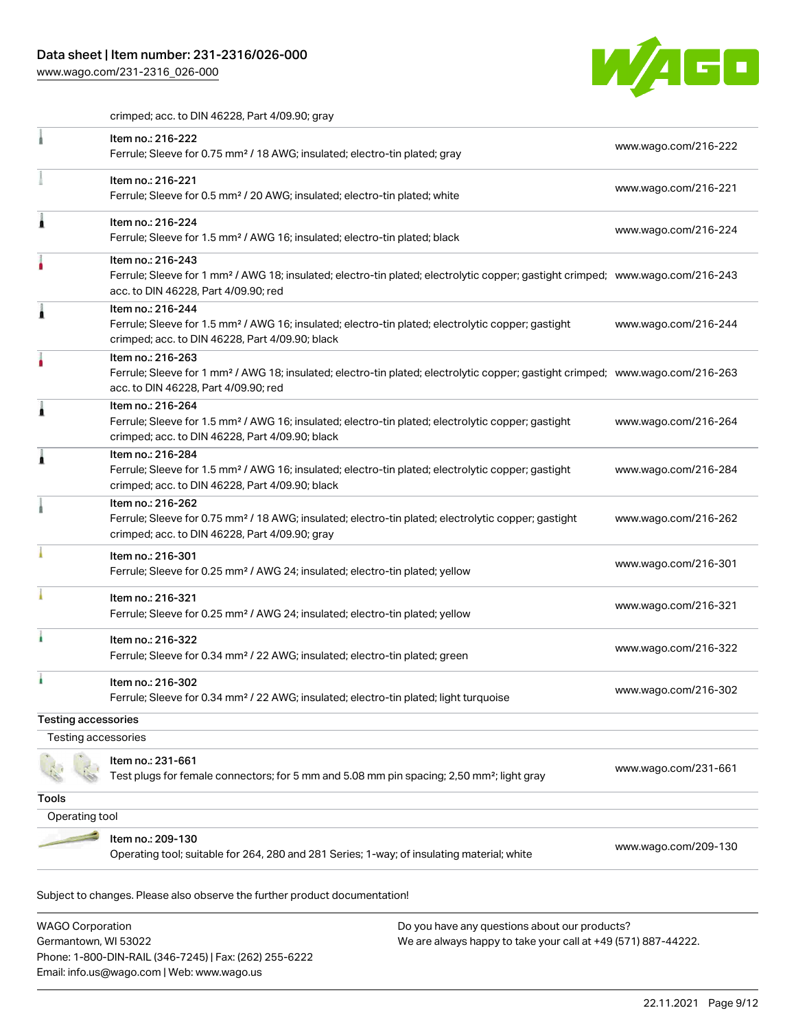Phone: 1-800-DIN-RAIL (346-7245) | Fax: (262) 255-6222

Email: info.us@wago.com | Web: www.wago.us

[www.wago.com/231-2316\\_026-000](http://www.wago.com/231-2316_026-000)



crimped; acc. to DIN 46228, Part 4/09.90; gray

|                                                 | Item no.: 216-222<br>Ferrule; Sleeve for 0.75 mm <sup>2</sup> / 18 AWG; insulated; electro-tin plated; gray                                                                                             |                                                                                                                | www.wago.com/216-222 |
|-------------------------------------------------|---------------------------------------------------------------------------------------------------------------------------------------------------------------------------------------------------------|----------------------------------------------------------------------------------------------------------------|----------------------|
|                                                 | Item no.: 216-221<br>Ferrule; Sleeve for 0.5 mm <sup>2</sup> / 20 AWG; insulated; electro-tin plated; white                                                                                             |                                                                                                                | www.wago.com/216-221 |
|                                                 | Item no.: 216-224<br>Ferrule; Sleeve for 1.5 mm <sup>2</sup> / AWG 16; insulated; electro-tin plated; black                                                                                             |                                                                                                                | www.wago.com/216-224 |
|                                                 | Item no.: 216-243<br>Ferrule; Sleeve for 1 mm <sup>2</sup> / AWG 18; insulated; electro-tin plated; electrolytic copper; gastight crimped; www.wago.com/216-243<br>acc. to DIN 46228, Part 4/09.90; red |                                                                                                                |                      |
|                                                 | Item no.: 216-244<br>Ferrule; Sleeve for 1.5 mm <sup>2</sup> / AWG 16; insulated; electro-tin plated; electrolytic copper; gastight<br>crimped; acc. to DIN 46228, Part 4/09.90; black                  |                                                                                                                | www.wago.com/216-244 |
|                                                 | Item no.: 216-263<br>Ferrule; Sleeve for 1 mm <sup>2</sup> / AWG 18; insulated; electro-tin plated; electrolytic copper; gastight crimped; www.wago.com/216-263<br>acc. to DIN 46228, Part 4/09.90; red |                                                                                                                |                      |
|                                                 | Item no.: 216-264<br>Ferrule; Sleeve for 1.5 mm <sup>2</sup> / AWG 16; insulated; electro-tin plated; electrolytic copper; gastight<br>crimped; acc. to DIN 46228, Part 4/09.90; black                  |                                                                                                                | www.wago.com/216-264 |
|                                                 | Item no.: 216-284<br>Ferrule; Sleeve for 1.5 mm <sup>2</sup> / AWG 16; insulated; electro-tin plated; electrolytic copper; gastight<br>crimped; acc. to DIN 46228, Part 4/09.90; black                  |                                                                                                                | www.wago.com/216-284 |
|                                                 | Item no.: 216-262<br>Ferrule; Sleeve for 0.75 mm <sup>2</sup> / 18 AWG; insulated; electro-tin plated; electrolytic copper; gastight<br>crimped; acc. to DIN 46228, Part 4/09.90; gray                  |                                                                                                                | www.wago.com/216-262 |
|                                                 | Item no.: 216-301<br>Ferrule; Sleeve for 0.25 mm <sup>2</sup> / AWG 24; insulated; electro-tin plated; yellow                                                                                           |                                                                                                                | www.wago.com/216-301 |
|                                                 | Item no.: 216-321<br>Ferrule; Sleeve for 0.25 mm <sup>2</sup> / AWG 24; insulated; electro-tin plated; yellow                                                                                           |                                                                                                                | www.wago.com/216-321 |
|                                                 | Item no.: 216-322<br>Ferrule; Sleeve for 0.34 mm <sup>2</sup> / 22 AWG; insulated; electro-tin plated; green                                                                                            |                                                                                                                | www.wago.com/216-322 |
|                                                 | Item no.: 216-302<br>Ferrule; Sleeve for 0.34 mm <sup>2</sup> / 22 AWG; insulated; electro-tin plated; light turquoise                                                                                  |                                                                                                                | www.wago.com/216-302 |
| <b>Testing accessories</b>                      |                                                                                                                                                                                                         |                                                                                                                |                      |
| Testing accessories                             |                                                                                                                                                                                                         |                                                                                                                |                      |
|                                                 | Item no.: 231-661<br>Test plugs for female connectors; for 5 mm and 5.08 mm pin spacing; 2,50 mm <sup>2</sup> ; light gray                                                                              |                                                                                                                | www.wago.com/231-661 |
| <b>Tools</b>                                    |                                                                                                                                                                                                         |                                                                                                                |                      |
| Operating tool                                  |                                                                                                                                                                                                         |                                                                                                                |                      |
|                                                 | Item no.: 209-130<br>Operating tool; suitable for 264, 280 and 281 Series; 1-way; of insulating material; white                                                                                         |                                                                                                                | www.wago.com/209-130 |
|                                                 | Subject to changes. Please also observe the further product documentation!                                                                                                                              |                                                                                                                |                      |
| <b>WAGO Corporation</b><br>Germantown, WI 53022 |                                                                                                                                                                                                         | Do you have any questions about our products?<br>We are always happy to take your call at +49 (571) 887-44222. |                      |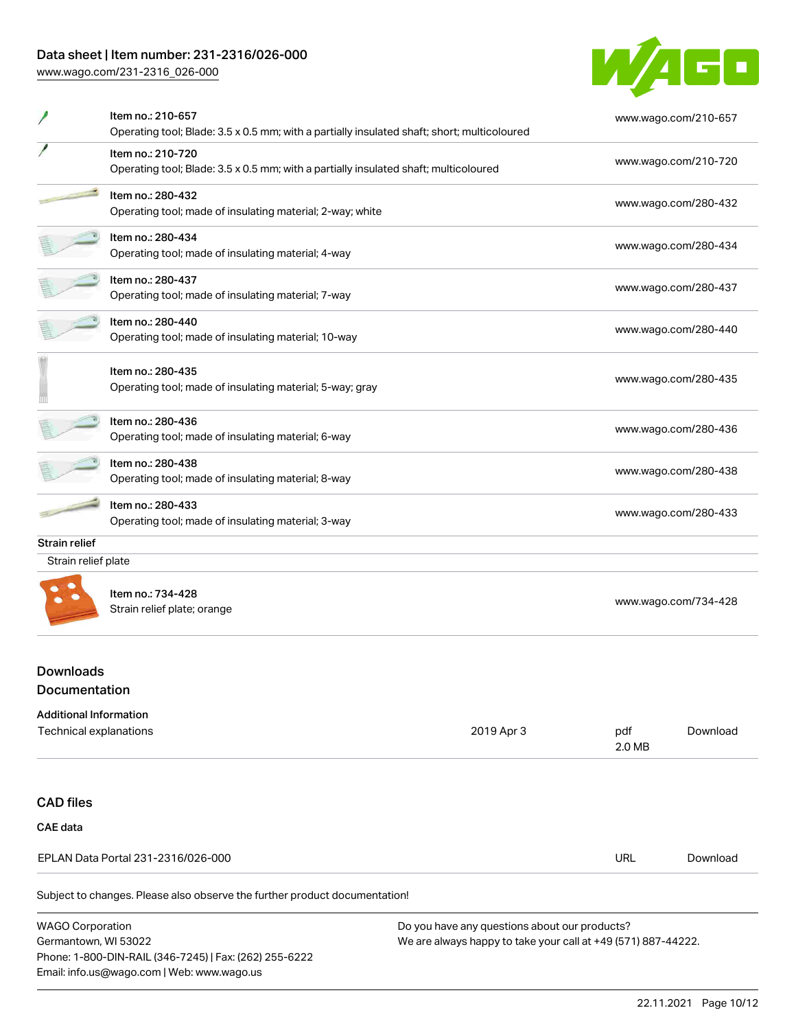# Data sheet | Item number: 231-2316/026-000

[www.wago.com/231-2316\\_026-000](http://www.wago.com/231-2316_026-000)

Email: info.us@wago.com | Web: www.wago.us



|                                                                | Item no.: 210-657<br>Operating tool; Blade: 3.5 x 0.5 mm; with a partially insulated shaft; short; multicoloured |                                                                                                                |               | www.wago.com/210-657 |  |
|----------------------------------------------------------------|------------------------------------------------------------------------------------------------------------------|----------------------------------------------------------------------------------------------------------------|---------------|----------------------|--|
|                                                                | Item no.: 210-720<br>Operating tool; Blade: 3.5 x 0.5 mm; with a partially insulated shaft; multicoloured        |                                                                                                                |               | www.wago.com/210-720 |  |
|                                                                | Item no.: 280-432<br>Operating tool; made of insulating material; 2-way; white                                   |                                                                                                                |               | www.wago.com/280-432 |  |
|                                                                | Item no.: 280-434<br>Operating tool; made of insulating material; 4-way                                          |                                                                                                                |               | www.wago.com/280-434 |  |
|                                                                | Item no.: 280-437<br>Operating tool; made of insulating material; 7-way                                          |                                                                                                                |               | www.wago.com/280-437 |  |
|                                                                | Item no.: 280-440<br>Operating tool; made of insulating material; 10-way                                         |                                                                                                                |               | www.wago.com/280-440 |  |
|                                                                | Item no.: 280-435<br>Operating tool; made of insulating material; 5-way; gray                                    |                                                                                                                |               | www.wago.com/280-435 |  |
|                                                                | Item no.: 280-436<br>Operating tool; made of insulating material; 6-way                                          |                                                                                                                |               | www.wago.com/280-436 |  |
|                                                                | Item no.: 280-438<br>Operating tool; made of insulating material; 8-way                                          |                                                                                                                |               | www.wago.com/280-438 |  |
|                                                                | Item no.: 280-433<br>Operating tool; made of insulating material; 3-way                                          |                                                                                                                |               | www.wago.com/280-433 |  |
| Strain relief                                                  |                                                                                                                  |                                                                                                                |               |                      |  |
| Strain relief plate                                            |                                                                                                                  |                                                                                                                |               |                      |  |
|                                                                | Item no.: 734-428<br>Strain relief plate; orange                                                                 |                                                                                                                |               | www.wago.com/734-428 |  |
| <b>Downloads</b><br>Documentation                              |                                                                                                                  |                                                                                                                |               |                      |  |
| <b>Additional Information</b><br><b>Technical explanations</b> |                                                                                                                  | 2019 Apr 3                                                                                                     | pdf<br>2.0 MB | Download             |  |
| <b>CAD files</b>                                               |                                                                                                                  |                                                                                                                |               |                      |  |
| <b>CAE data</b>                                                |                                                                                                                  |                                                                                                                |               |                      |  |
|                                                                | EPLAN Data Portal 231-2316/026-000                                                                               |                                                                                                                | <b>URL</b>    | Download             |  |
|                                                                | Subject to changes. Please also observe the further product documentation!                                       |                                                                                                                |               |                      |  |
| <b>WAGO Corporation</b><br>Germantown, WI 53022                | Phone: 1-800-DIN-RAIL (346-7245)   Fax: (262) 255-6222                                                           | Do you have any questions about our products?<br>We are always happy to take your call at +49 (571) 887-44222. |               |                      |  |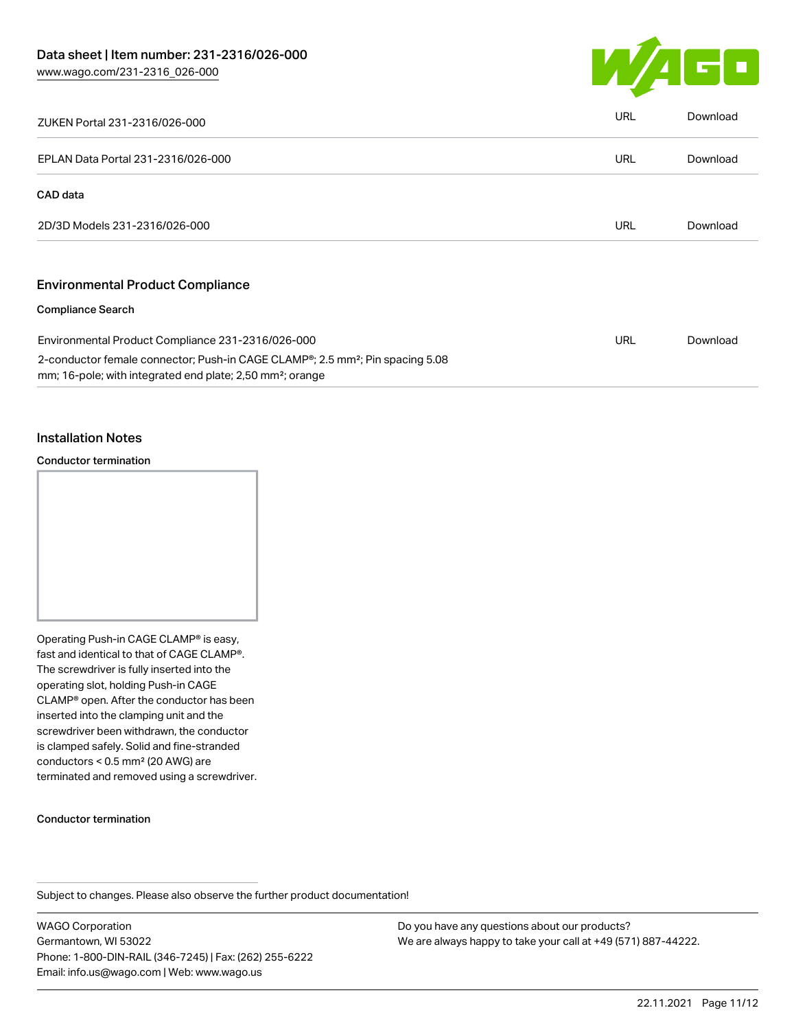

| ZUKEN Portal 231-2316/026-000                                                                                                                                                   | <b>URL</b> | Download |
|---------------------------------------------------------------------------------------------------------------------------------------------------------------------------------|------------|----------|
| EPLAN Data Portal 231-2316/026-000                                                                                                                                              | <b>URL</b> | Download |
| CAD data                                                                                                                                                                        |            |          |
| 2D/3D Models 231-2316/026-000                                                                                                                                                   | <b>URL</b> | Download |
| <b>Environmental Product Compliance</b>                                                                                                                                         |            |          |
| <b>Compliance Search</b>                                                                                                                                                        |            |          |
| Environmental Product Compliance 231-2316/026-000                                                                                                                               | <b>URL</b> | Download |
| 2-conductor female connector; Push-in CAGE CLAMP <sup>®</sup> ; 2.5 mm <sup>2</sup> ; Pin spacing 5.08<br>mm; 16-pole; with integrated end plate; 2,50 mm <sup>2</sup> ; orange |            |          |

### Installation Notes

#### Conductor termination



Operating Push-in CAGE CLAMP® is easy, fast and identical to that of CAGE CLAMP®. The screwdriver is fully inserted into the operating slot, holding Push-in CAGE CLAMP® open. After the conductor has been inserted into the clamping unit and the screwdriver been withdrawn, the conductor is clamped safely. Solid and fine-stranded conductors < 0.5 mm² (20 AWG) are terminated and removed using a screwdriver.

#### Conductor termination

Subject to changes. Please also observe the further product documentation!

WAGO Corporation Germantown, WI 53022 Phone: 1-800-DIN-RAIL (346-7245) | Fax: (262) 255-6222 Email: info.us@wago.com | Web: www.wago.us